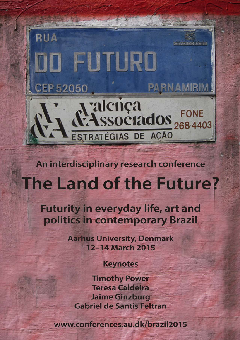

An interdisciplinary research conference

# The Land of the Future?

Futurity in everyday life, art and politics in contemporary Brazil

> **Aarhus University, Denmark** 12-14 March 2015

# **Keynotes**

**Timothy Power Teresa Caldeira Jaime Ginzburg Gabriel de Santis Feltran** 

www.conferences.au.dk/brazil2015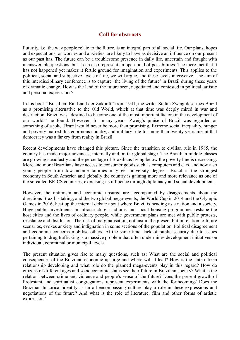#### **Call for abstracts**

Futurity, i.e. the way people relate to the future, is an integral part of all social life. Our plans, hopes and expectations, or worries and anxieties, are likely to have as decisive an influence on our present as our past has. The future can be a troublesome presence in daily life, uncertain and fraught with unanswerable questions, but it can also represent an open field of possibilities. The mere fact that it has not happened yet makes it fertile ground for imagination and experiments. This applies to the political, social and subjective levels of life, we will argue, and these levels interweave. The aim of this interdisciplinary conference is to capture 'the living of the future' in Brazil during these years of dramatic change. How is the land of the future seen, negotiated and contested in political, artistic and personal expressions?

In his book "Brasilien: Ein Land der Zukunft" from 1941, the writer Stefan Zweig describes Brazil as a promising alternative to the Old World, which at that time was deeply mired in war and destruction. Brazil was "destined to become one of the most important factors in the development of our world," he found. However, for many years, Zweig's praise of Brazil was regarded as something of a joke. Brazil would never be more than promising. Extreme social inequality, hunger and poverty marred this enormous country, and military rule for more than twenty years meant that democracy was a far cry from reality in Brazil.

Recent developments have changed this picture. Since the transition to civilian rule in 1985, the country has made major advances, internally and on the global stage. The Brazilian middle-classes are growing steadfastly and the percentage of Brazilians living below the poverty line is decreasing. More and more Brazilians have access to consumer goods such as computers and cars, and now also young people from low-income families may get university degrees. Brazil is the strongest economy in South America and globally the country is gaining more and more relevance as one of the so-called BRICS countries, exercising its influence through diplomacy and social development.

However, the optimism and economic upsurge are accompanied by disagreements about the directions Brazil is taking, and the two global mega-events, the World Cup in 2014 and the Olympic Games in 2016, heat up the internal debate about where Brazil is heading as a nation and a society. Huge public investments in infrastructure, stadiums and social housing programmes reshape the host cities and the lives of ordinary people, while government plans are met with public protests, resistance and disillusion. The risk of marginalisation, not just in the present but in relation to future scenarios, evokes anxiety and indignation in some sections of the population. Political disagreement and economic concerns mobilise others. At the same time, lack of public security due to issues pertaining to drug trafficking is a massive problem that often undermines development initiatives on individual, communal or municipal levels.

The present situation gives rise to many questions, such as: What are the social and political consequences of the Brazilian economic upsurge and where will it lead? How is the state-citizen relationship developing and what role do the planned mega-events play in this regard? How do citizens of different ages and socioeconomic status see their future in Brazilian society? What is the relation between crime and violence and people's sense of the future? Does the present growth of Protestant and spiritualist congregations represent experiments with the forthcoming? Does the Brazilian historical identity as an all-encompassing culture play a role in these expressions and negotiations of the future? And what is the role of literature, film and other forms of artistic expression?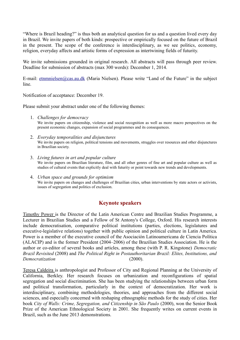"Where is Brazil heading?" is thus both an analytical question for us and a question lived every day in Brazil. We invite papers of both kinds: prospective or empirically focused on the future of Brazil in the present. The scope of the conference is interdisciplinary, as we see politics, economy, religion, everyday affects and artistic forms of expression as intertwining fields of futurity.

We invite submissions grounded in original research. All abstracts will pass through peer review. Deadline for submission of abstracts (max 300 words): December 1, 2014.

E-mail: [etnmnielsen@cas.au.dk](mailto:etnmnielsen@cas.au.dk) (Maria Nielsen). Please write "Land of the Future" in the subject line.

Notification of acceptance: December 19.

Please submit your abstract under one of the following themes:

- 1. *Challenges for democracy*  We invite papers on citizenship, violence and social recognition as well as more macro perspectives on the present economic changes, expansion of social programmes and its consequences.
- 2. *Everyday temporalities and disjunctures* We invite papers on religion, political tensions and movements, struggles over resources and other disjunctures in Brazilian society.
- 3. *Living futures in art and popular culture* We invite papers on Brazilian literature, film, and all other genres of fine art and popular culture as well as studies of cultural events that explicitly deal with futurity or point towards new trends and developments.
- 4. *Urban space and grounds for optimism* We invite papers on changes and challenges of Brazilian cities, urban interventions by state actors or activists, issues of segregation and politics of exclusion.

## **Keynote speakers**

Timothy Power is the Director of the Latin American Centre and Brazilian Studies Programme, a Lecturer in Brazilian Studies and a Fellow of St Antony's College, Oxford. His research interests include democratisation, comparative political institutions (parties, elections, legislatures and executive-legislative relations) together with public opinion and political culture in Latin America. Power is a member of the executive council of the Asociación Latinoamericana de Ciencia Política (ALACIP) and is the former President (2004–2006) of the Brazilian Studies Association. He is the author or co-editor of several books and articles, among these (with P. R. Kingstone) *Democratic Brazil Revisited* (2008) and *The Political Right in Postauthoritarian Brazil: Elites, Institutions, and Democratization* (2000).

Teresa Caldeira is anthropologist and Professor of City and Regional Planning at the University of California, Berkley. Her research focuses on urbanization and reconfigurations of spatial segregation and social discrimination. She has been studying the relationships between urban form and political transformation, particularly in the context of democratization. Her work is interdisciplinary, combining methodologies, theories, and approaches from the different social sciences, and especially concerned with reshaping ethnographic methods for the study of cities. Her book *City of Walls: Crime, Segregation, and Citizenship in São Paulo* (2000), won the Senior Book Prize of the American Ethnological Society in 2001. She frequently writes on current events in Brazil, such as the June 2013 demonstrations.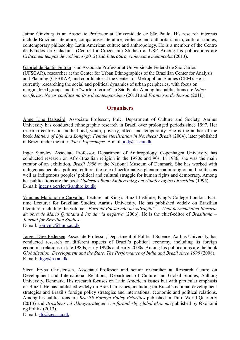Jaime Ginzburg is an Associate Professor at Universidade de São Paulo. His research interests include Brazilian literature, comparative literature, violence and authoritarianism, cultural studies, contemporary philosophy, Latin American culture and anthropology. He is a member of the Centro de Estudos da Cidadania (Centre for Citizenship Studies) at USP. Among his publications are *Crítica em tempos de violência* (2012) and *Literatura, violência e melancolia* (2013).

Gabriel de Santis Feltran is an Associate Professor at Universidade Federal de São Carlos (UFSCAR), researcher at the Center for Urban Ethnographies of the Brazilian Center for Analysis and Planning (CEBRAP) and coordinator at the Center for Metropolitan Studies (CEM). He is currently researching the social and political dynamics of urban peripheries, with focus on marginalized groups and the "world of crime" in São Paulo. Among his publications are *Sobre periferias: Novos conflitos no Brasil contemporâneo* (2013) and *Fronteiras de Tensão* (2011).

#### **Organisers**

Anne Line Dalsgård, Associate Professor, PhD, Department of Culture and Society, Aarhus University has conducted ethnographic research in Brazil over prolonged periods since 1997. Her research centres on motherhood, youth, poverty, affect and temporality. She is the author of the book *Matters of Life and Longing: Female sterilisation in Northeast Brazil* (2004), later published in Brazil under the title *Vida e Esperanças*. E-mail: [ald@cas.au.dk](mailto:ald@cas.au.dk)

Inger Sjørslev, Associate Professor, Department of Anthropology, Copenhagen University, has conducted research on Afro-Brazilian religion in the 1980s and 90s. In 1986, she was the main curator of an exhibition, *Brasil 1986* at the National Museum of Denmark. She has worked with indigenous peoples, political culture, the role of performative phenomena in religion and politics as well as indigenous peoples' political and cultural struggle for human rights and democracy. Among her publications are the book *Gudernes Rum: En beretning om ritualer og tro i Brasilien* (1995). E-mail: [inger.sjoerslev@anthro.ku.dk](mailto:Inger.sjoerslev@anthro.ku.dk)

Vinicius Mariano de Carvalho, Lecturer at King's Brazil Institute, King's College London. Parttime Lecturer for Brazilian Studies, Aarhus University. He has published widely on Brazilian literature, including the volume *"Fora da Poesia não há salvação" — Uma hermenêutica literária da obra de Mario Quintana à luz da via negativa* (2006). He is the chief-editor of *Brasiliana – Journal for Brazilian Studies*.

E-mail: [romvmc@hum.au.dk](mailto:romvmc@hum.au.dk)

Jørgen Dige Pedersen, Associate Professor, Department of Political Science, Aarhus University, has conducted research on different aspects of Brazil's political economy, including its foreign economic relations in late 1980s, early 1990s and early 2000s. Among his publications are the book *Globalization, Development and the State. The Performance of India and Brazil since 1990 (2008).* E-mail: [dige@ps.au.dk](mailto:dige@ps.au.dk)

Steen Fryba Christensen, Associate Professor and senior researcher at Research Centre on Development and International Relations, Department of Culture and Global Studies, Aalborg University, Denmark. His research focuses on Latin American issues but with particular emphasis on Brazil. He has published widely on Brazilian issues, including on Brazil's national development strategies and Brazil's foreign policy strategies and international economic and political relations. Among his publications are *Brazil's Foreign Policy Priorities* published in Third World Quarterly (2013) and *Brasiliens udviklingsstrategier i en foranderlig global økonomi* published by Økonomi og Politik (2013). E-mail: [sfc@cgs.aau.dk](mailto:sfc@cgs.aau.dk)